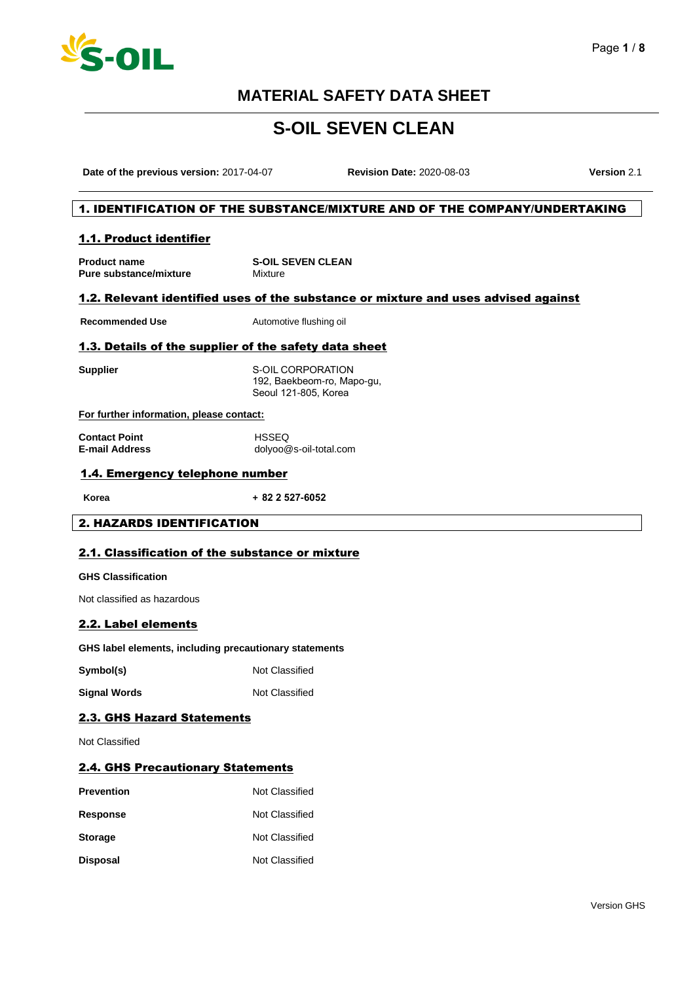

# **S-OIL SEVEN CLEAN**

**Date of the previous version:** 2017-04-07 **Revision Date:** 2020-08-03 **Version** 2.1

#### 1. IDENTIFICATION OF THE SUBSTANCE/MIXTURE AND OF THE COMPANY/UNDERTAKING

#### 1.1. Product identifier

**Product name Pure substance/mixture S-OIL SEVEN CLEAN** Mixture

#### 1.2. Relevant identified uses of the substance or mixture and uses advised against

**Recommended Use** Automotive flushing oil

#### 1.3. Details of the supplier of the safety data sheet

**Supplier** S-OIL CORPORATION 192, Baekbeom-ro, Mapo-gu, Seoul 121-805, Korea

#### **For further information, please contact:**

| <b>Contact Point</b>  | <b>HSSEQ</b>           |
|-----------------------|------------------------|
| <b>E-mail Address</b> | dolyoo@s-oil-total.com |

#### 1.4. Emergency telephone number

**Korea + 82 2 527-6052**

### 2. HAZARDS IDENTIFICATION

#### 2.1. Classification of the substance or mixture

**GHS Classification**

Not classified as hazardous

#### 2.2. Label elements

#### **GHS label elements, including precautionary statements**

**Symbol(s)** Not Classified

**Signal Words** Not Classified

### 2.3. GHS Hazard Statements

Not Classified

### 2.4. GHS Precautionary Statements

| <b>Prevention</b> | Not Classified |
|-------------------|----------------|
| <b>Response</b>   | Not Classified |
| <b>Storage</b>    | Not Classified |
| <b>Disposal</b>   | Not Classified |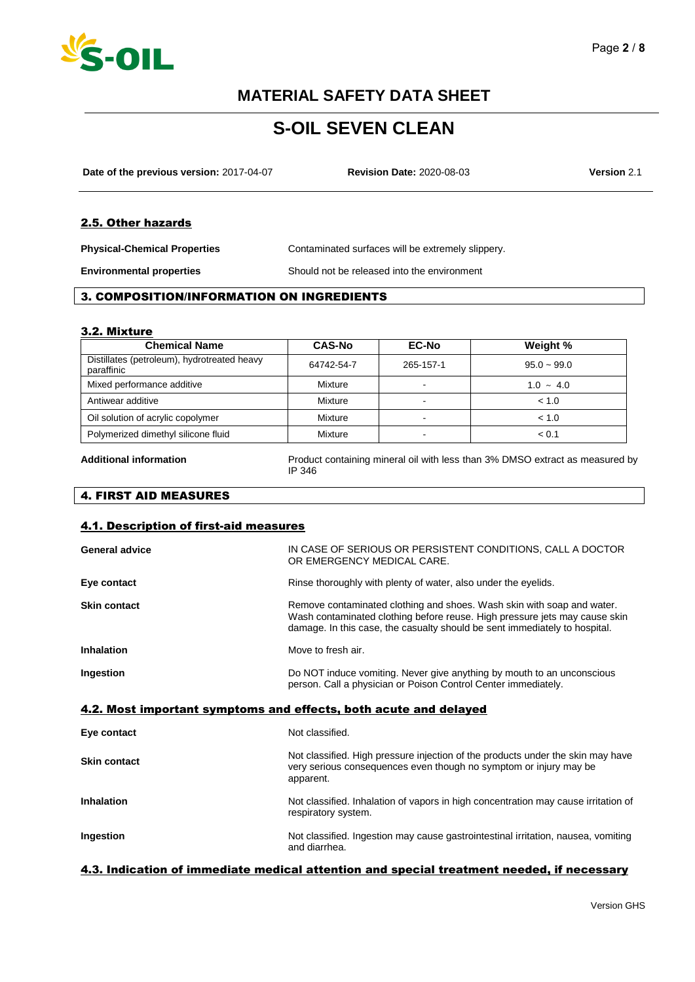

# **S-OIL SEVEN CLEAN**

**Date of the previous version:** 2017-04-07 **Revision Date:** 2020-08-03 **Version** 2.1

### 2.5. Other hazards

**Physical-Chemical Properties** Contaminated surfaces will be extremely slippery.

**Environmental properties** Should not be released into the environment

#### 3. COMPOSITION/INFORMATION ON INGREDIENTS

#### 3.2. Mixture

| <b>CAS-No</b> | <b>EC-No</b>   | Weight %       |
|---------------|----------------|----------------|
| 64742-54-7    | 265-157-1      | $95.0 - 99.0$  |
| Mixture       | $\blacksquare$ | $1.0 \sim 4.0$ |
| Mixture       | -              | < 1.0          |
| Mixture       | $\sim$         | < 1.0          |
| Mixture       | -              | < 0.1          |
|               |                |                |

**Additional information** Product containing mineral oil with less than 3% DMSO extract as measured by IP 346

### 4. FIRST AID MEASURES

#### 4.1. Description of first-aid measures

| <b>General advice</b>                                            | IN CASE OF SERIOUS OR PERSISTENT CONDITIONS, CALL A DOCTOR<br>OR EMERGENCY MEDICAL CARE.                                                                                                                                           |  |
|------------------------------------------------------------------|------------------------------------------------------------------------------------------------------------------------------------------------------------------------------------------------------------------------------------|--|
| Eye contact                                                      | Rinse thoroughly with plenty of water, also under the eyelids.                                                                                                                                                                     |  |
| <b>Skin contact</b>                                              | Remove contaminated clothing and shoes. Wash skin with soap and water.<br>Wash contaminated clothing before reuse. High pressure jets may cause skin<br>damage. In this case, the casualty should be sent immediately to hospital. |  |
| <b>Inhalation</b>                                                | Move to fresh air.                                                                                                                                                                                                                 |  |
| Ingestion                                                        | Do NOT induce vomiting. Never give anything by mouth to an unconscious<br>person. Call a physician or Poison Control Center immediately.                                                                                           |  |
|                                                                  |                                                                                                                                                                                                                                    |  |
| 4.2. Most important symptoms and effects, both acute and delayed |                                                                                                                                                                                                                                    |  |
| Eye contact                                                      | Not classified.                                                                                                                                                                                                                    |  |
| <b>Skin contact</b>                                              | Not classified. High pressure injection of the products under the skin may have<br>very serious consequences even though no symptom or injury may be<br>apparent.                                                                  |  |
| <b>Inhalation</b>                                                | Not classified. Inhalation of vapors in high concentration may cause irritation of<br>respiratory system.                                                                                                                          |  |

#### 4.3. Indication of immediate medical attention and special treatment needed, if necessary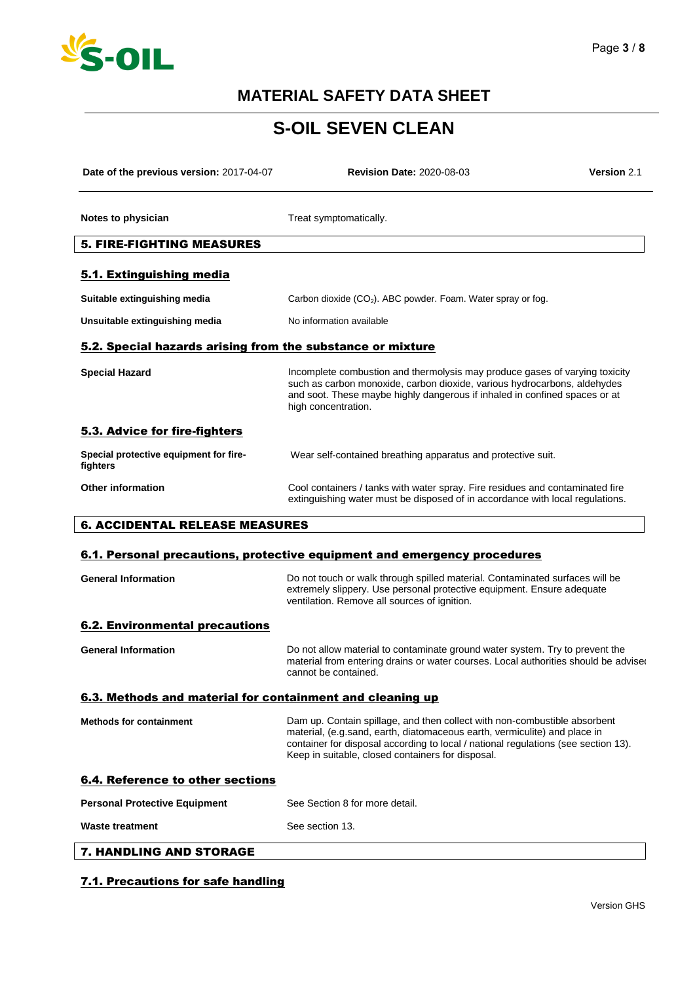

# **S-OIL SEVEN CLEAN**

| Date of the previous version: 2017-04-07                   | <b>Revision Date: 2020-08-03</b>                                                                                                                                                                                                                                                                  | <b>Version 2.1</b> |
|------------------------------------------------------------|---------------------------------------------------------------------------------------------------------------------------------------------------------------------------------------------------------------------------------------------------------------------------------------------------|--------------------|
| Notes to physician                                         | Treat symptomatically.                                                                                                                                                                                                                                                                            |                    |
| <b>5. FIRE-FIGHTING MEASURES</b>                           |                                                                                                                                                                                                                                                                                                   |                    |
| 5.1. Extinguishing media                                   |                                                                                                                                                                                                                                                                                                   |                    |
| Suitable extinguishing media                               | Carbon dioxide $(CO_2)$ . ABC powder. Foam. Water spray or fog.                                                                                                                                                                                                                                   |                    |
| Unsuitable extinguishing media                             | No information available                                                                                                                                                                                                                                                                          |                    |
| 5.2. Special hazards arising from the substance or mixture |                                                                                                                                                                                                                                                                                                   |                    |
| <b>Special Hazard</b>                                      | Incomplete combustion and thermolysis may produce gases of varying toxicity<br>such as carbon monoxide, carbon dioxide, various hydrocarbons, aldehydes<br>and soot. These maybe highly dangerous if inhaled in confined spaces or at<br>high concentration.                                      |                    |
| 5.3. Advice for fire-fighters                              |                                                                                                                                                                                                                                                                                                   |                    |
| Special protective equipment for fire-<br>fighters         | Wear self-contained breathing apparatus and protective suit.                                                                                                                                                                                                                                      |                    |
| <b>Other information</b>                                   | Cool containers / tanks with water spray. Fire residues and contaminated fire<br>extinguishing water must be disposed of in accordance with local regulations.                                                                                                                                    |                    |
| <b>6. ACCIDENTAL RELEASE MEASURES</b>                      |                                                                                                                                                                                                                                                                                                   |                    |
|                                                            | 6.1. Personal precautions, protective equipment and emergency procedures                                                                                                                                                                                                                          |                    |
| <b>General Information</b>                                 | Do not touch or walk through spilled material. Contaminated surfaces will be<br>extremely slippery. Use personal protective equipment. Ensure adequate<br>ventilation. Remove all sources of ignition.                                                                                            |                    |
| <b>6.2. Environmental precautions</b>                      |                                                                                                                                                                                                                                                                                                   |                    |
| <b>General Information</b>                                 | Do not allow material to contaminate ground water system. Try to prevent the<br>material from entering drains or water courses. Local authorities should be advise<br>cannot be contained.                                                                                                        |                    |
| 6.3. Methods and material for containment and cleaning up  |                                                                                                                                                                                                                                                                                                   |                    |
| <b>Methods for containment</b>                             | Dam up. Contain spillage, and then collect with non-combustible absorbent<br>material, (e.g.sand, earth, diatomaceous earth, vermiculite) and place in<br>container for disposal according to local / national regulations (see section 13).<br>Keep in suitable, closed containers for disposal. |                    |
| <b>6.4. Reference to other sections</b>                    |                                                                                                                                                                                                                                                                                                   |                    |
| <b>Personal Protective Equipment</b>                       | See Section 8 for more detail.                                                                                                                                                                                                                                                                    |                    |
| <b>Waste treatment</b>                                     | See section 13.                                                                                                                                                                                                                                                                                   |                    |
| 7. HANDLING AND STORAGE                                    |                                                                                                                                                                                                                                                                                                   |                    |

### 7.1. Precautions for safe handling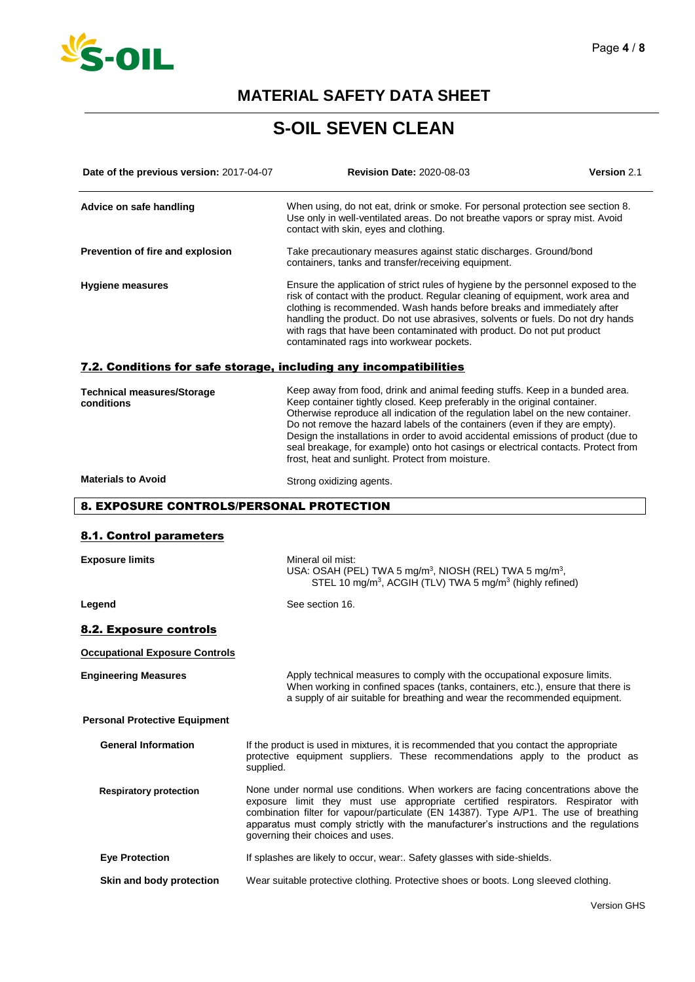

# **S-OIL SEVEN CLEAN**

| Date of the previous version: 2017-04-07        | <b>Revision Date: 2020-08-03</b>                                                                                                                                                                                                                                                                                                                                                                                                                                                                                                                            | Version 2.1 |
|-------------------------------------------------|-------------------------------------------------------------------------------------------------------------------------------------------------------------------------------------------------------------------------------------------------------------------------------------------------------------------------------------------------------------------------------------------------------------------------------------------------------------------------------------------------------------------------------------------------------------|-------------|
| Advice on safe handling                         | When using, do not eat, drink or smoke. For personal protection see section 8.<br>Use only in well-ventilated areas. Do not breathe vapors or spray mist. Avoid<br>contact with skin, eyes and clothing.                                                                                                                                                                                                                                                                                                                                                    |             |
| Prevention of fire and explosion                | Take precautionary measures against static discharges. Ground/bond<br>containers, tanks and transfer/receiving equipment.                                                                                                                                                                                                                                                                                                                                                                                                                                   |             |
| <b>Hygiene measures</b>                         | Ensure the application of strict rules of hygiene by the personnel exposed to the<br>risk of contact with the product. Regular cleaning of equipment, work area and<br>clothing is recommended. Wash hands before breaks and immediately after<br>handling the product. Do not use abrasives, solvents or fuels. Do not dry hands<br>with rags that have been contaminated with product. Do not put product<br>contaminated rags into workwear pockets.                                                                                                     |             |
|                                                 | 7.2. Conditions for safe storage, including any incompatibilities                                                                                                                                                                                                                                                                                                                                                                                                                                                                                           |             |
| <b>Technical measures/Storage</b><br>conditions | Keep away from food, drink and animal feeding stuffs. Keep in a bunded area.<br>Keep container tightly closed. Keep preferably in the original container.<br>Otherwise reproduce all indication of the regulation label on the new container.<br>Do not remove the hazard labels of the containers (even if they are empty).<br>Design the installations in order to avoid accidental emissions of product (due to<br>seal breakage, for example) onto hot casings or electrical contacts. Protect from<br>frost, heat and sunlight. Protect from moisture. |             |
| <b>Materials to Avoid</b>                       | Strong oxidizing agents.                                                                                                                                                                                                                                                                                                                                                                                                                                                                                                                                    |             |
| 8. EXPOSURE CONTROLS/PERSONAL PROTECTION        |                                                                                                                                                                                                                                                                                                                                                                                                                                                                                                                                                             |             |
| 8.1. Control parameters                         |                                                                                                                                                                                                                                                                                                                                                                                                                                                                                                                                                             |             |
| <b>Exposure limits</b>                          | Mineral oil mist:<br>USA: OSAH (PEL) TWA 5 mg/m <sup>3</sup> , NIOSH (REL) TWA 5 mg/m <sup>3</sup> ,<br>STEL 10 mg/m <sup>3</sup> , ACGIH (TLV) TWA 5 mg/m <sup>3</sup> (highly refined)                                                                                                                                                                                                                                                                                                                                                                    |             |
| Legend                                          | See section 16.                                                                                                                                                                                                                                                                                                                                                                                                                                                                                                                                             |             |
| 8.2. Exposure controls                          |                                                                                                                                                                                                                                                                                                                                                                                                                                                                                                                                                             |             |
| <b>Occupational Exposure Controls</b>           |                                                                                                                                                                                                                                                                                                                                                                                                                                                                                                                                                             |             |
| <b>Engineering Measures</b>                     | Apply technical measures to comply with the occupational exposure limits.<br>When working in confined spaces (tanks, containers, etc.), ensure that there is<br>a supply of air suitable for breathing and wear the recommended equipment.                                                                                                                                                                                                                                                                                                                  |             |
| <b>Personal Protective Equipment</b>            |                                                                                                                                                                                                                                                                                                                                                                                                                                                                                                                                                             |             |
| <b>General Information</b>                      | If the product is used in mixtures, it is recommended that you contact the appropriate<br>protective equipment suppliers. These recommendations apply to the product as<br>supplied.                                                                                                                                                                                                                                                                                                                                                                        |             |
| <b>Respiratory protection</b>                   | None under normal use conditions. When workers are facing concentrations above the<br>exposure limit they must use appropriate certified respirators. Respirator with<br>combination filter for vapour/particulate (EN 14387). Type A/P1. The use of breathing<br>apparatus must comply strictly with the manufacturer's instructions and the regulations<br>governing their choices and uses.                                                                                                                                                              |             |
| <b>Eye Protection</b>                           | If splashes are likely to occur, wear Safety glasses with side-shields.                                                                                                                                                                                                                                                                                                                                                                                                                                                                                     |             |
| Skin and body protection                        | Wear suitable protective clothing. Protective shoes or boots. Long sleeved clothing.                                                                                                                                                                                                                                                                                                                                                                                                                                                                        |             |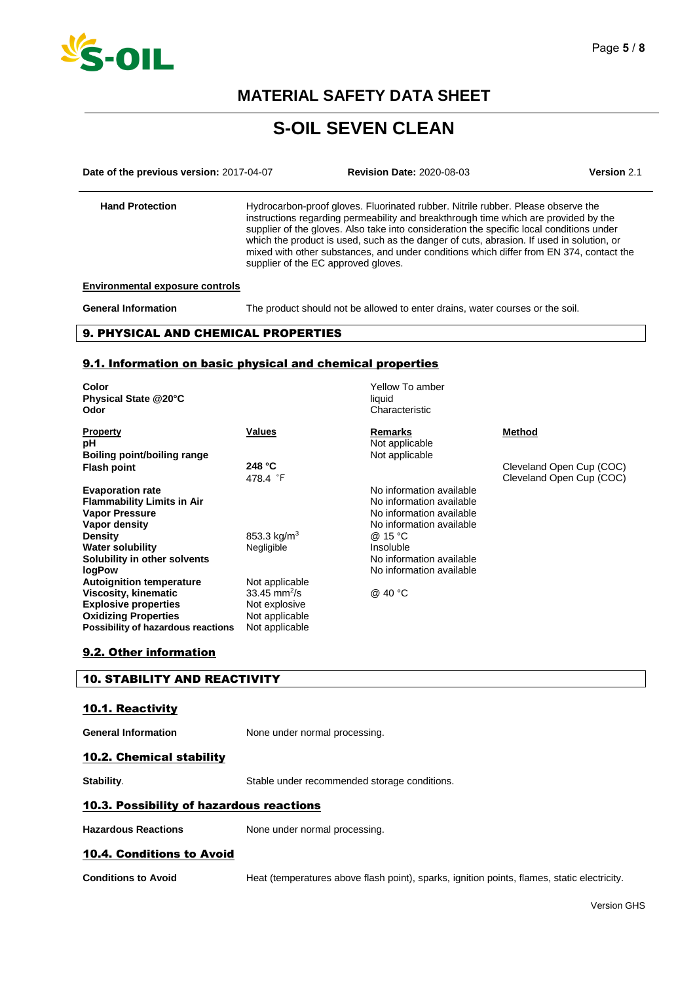

# **S-OIL SEVEN CLEAN**

**Date of the previous version:** 2017-04-07 **Revision Date:** 2020-08-03 **Version** 2.1 **Hand Protection** Hydrocarbon-proof gloves. Fluorinated rubber. Nitrile rubber. Please observe the instructions regarding permeability and breakthrough time which are provided by the supplier of the gloves. Also take into consideration the specific local conditions under which the product is used, such as the danger of cuts, abrasion. If used in solution, or mixed with other substances, and under conditions which differ from EN 374, contact the supplier of the EC approved gloves.

#### **Environmental exposure controls**

**General Information** The product should not be allowed to enter drains, water courses or the soil.

#### 9. PHYSICAL AND CHEMICAL PROPERTIES

#### 9.1. Information on basic physical and chemical properties

| Color<br>Physical State @20°C<br>Odor |                            | Yellow To amber<br>liquid<br>Characteristic |                          |
|---------------------------------------|----------------------------|---------------------------------------------|--------------------------|
| <b>Property</b><br>рH                 | Values                     | Remarks<br>Not applicable                   | <b>Method</b>            |
| Boiling point/boiling range           |                            | Not applicable                              |                          |
| <b>Flash point</b>                    | 248 $°C$                   |                                             | Cleveland Open Cup (COC) |
|                                       | 478.4 F                    |                                             | Cleveland Open Cup (COC) |
| <b>Evaporation rate</b>               |                            | No information available                    |                          |
| <b>Flammability Limits in Air</b>     |                            | No information available                    |                          |
| <b>Vapor Pressure</b>                 |                            | No information available                    |                          |
| Vapor density                         |                            | No information available                    |                          |
| <b>Density</b>                        | 853.3 kg/m <sup>3</sup>    | @ 15 °C                                     |                          |
| <b>Water solubility</b>               | Negligible                 | Insoluble                                   |                          |
| Solubility in other solvents          |                            | No information available                    |                          |
| <b>logPow</b>                         |                            | No information available                    |                          |
| <b>Autoignition temperature</b>       | Not applicable             |                                             |                          |
| Viscosity, kinematic                  | $33.45$ mm <sup>2</sup> /s | @ 40 °C                                     |                          |
| <b>Explosive properties</b>           | Not explosive              |                                             |                          |
| <b>Oxidizing Properties</b>           | Not applicable             |                                             |                          |
| Possibility of hazardous reactions    | Not applicable             |                                             |                          |

#### 9.2. Other information

#### 10. STABILITY AND REACTIVITY

#### 10.1. Reactivity

**General Information** None under normal processing.

### 10.2. Chemical stability

**Stability.** Stable under recommended storage conditions.

#### 10.3. Possibility of hazardous reactions

Hazardous Reactions **None under normal processing**.

#### 10.4. Conditions to Avoid

**Conditions to Avoid** Heat (temperatures above flash point), sparks, ignition points, flames, static electricity.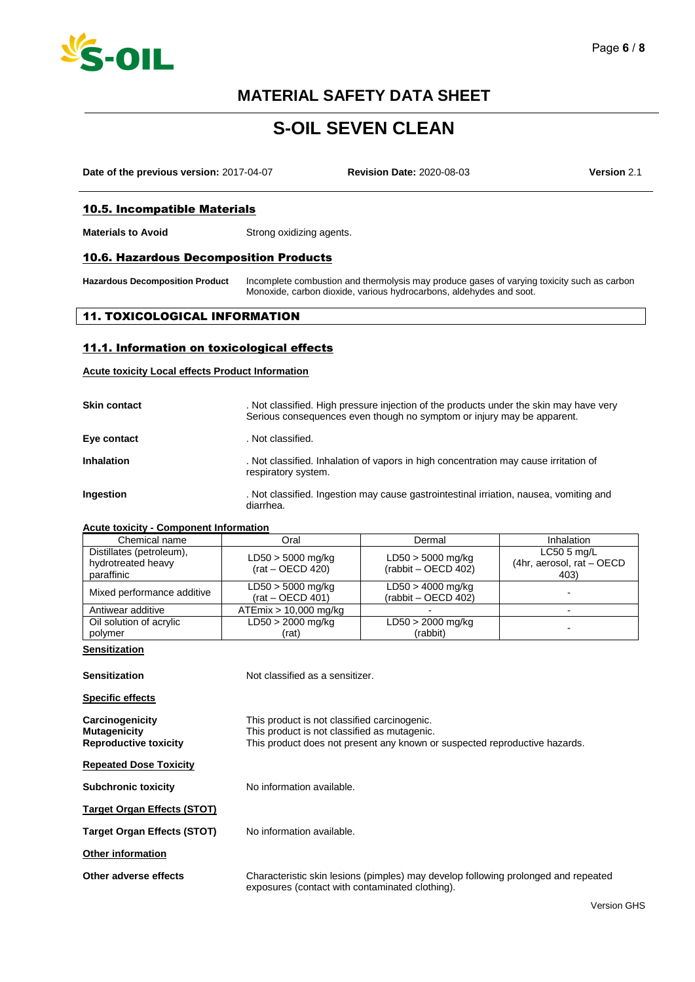

### Page **6** / **8**

### **MATERIAL SAFETY DATA SHEET**

# **S-OIL SEVEN CLEAN**

**Date of the previous version:** 2017-04-07 **Revision Date:** 2020-08-03 **Version** 2.1

#### 10.5. Incompatible Materials

**Materials to Avoid** Strong oxidizing agents.

#### 10.6. Hazardous Decomposition Products

**Hazardous Decomposition Product** Incomplete combustion and thermolysis may produce gases of varying toxicity such as carbon Monoxide, carbon dioxide, various hydrocarbons, aldehydes and soot.

#### 11. TOXICOLOGICAL INFORMATION

#### 11.1. Information on toxicological effects

#### **Acute toxicity Local effects Product Information**

| <b>Skin contact</b> | . Not classified. High pressure injection of the products under the skin may have very<br>Serious consequences even though no symptom or injury may be apparent. |
|---------------------|------------------------------------------------------------------------------------------------------------------------------------------------------------------|
| Eye contact         | . Not classified.                                                                                                                                                |
| Inhalation          | . Not classified. Inhalation of vapors in high concentration may cause irritation of<br>respiratory system.                                                      |
| Ingestion           | . Not classified. Ingestion may cause gastrointestinal irriation, nausea, vomiting and<br>diarrhea.                                                              |

#### **Acute toxicity - Component Information**

| Chemical name                                                | Oral                                      | Dermal                                       | Inhalation                                        |
|--------------------------------------------------------------|-------------------------------------------|----------------------------------------------|---------------------------------------------------|
| Distillates (petroleum),<br>hydrotreated heavy<br>paraffinic | $LD50 > 5000$ mg/kg<br>$(rat - OECD 420)$ | $LD50 > 5000$ mg/kg<br>$(rabbit - OECD 402)$ | $LC505$ mg/L<br>(4hr, aerosol, rat - OECD<br>403) |
| Mixed performance additive                                   | $LD50 > 5000$ mg/kg<br>$(rat - OECD 401)$ | $LD50 > 4000$ mg/kg<br>$(rabbit - OECD 402)$ |                                                   |
| Antiwear additive                                            | $ATEmix > 10,000$ mg/kg                   |                                              |                                                   |
| Oil solution of acrylic<br>polymer                           | $LD50 > 2000$ mg/kg<br>(rat)              | $LD50 > 2000$ mg/kg<br>(rabbit)              |                                                   |

#### **Sensitization**

| Sensitization                                                   | Not classified as a sensitizer.                                                                                                                                            |
|-----------------------------------------------------------------|----------------------------------------------------------------------------------------------------------------------------------------------------------------------------|
| Specific effects                                                |                                                                                                                                                                            |
| Carcinogenicity<br>Mutagenicity<br><b>Reproductive toxicity</b> | This product is not classified carcinogenic.<br>This product is not classified as mutagenic.<br>This product does not present any known or suspected reproductive hazards. |
| <b>Repeated Dose Toxicity</b>                                   |                                                                                                                                                                            |
| <b>Subchronic toxicity</b>                                      | No information available.                                                                                                                                                  |
| Target Organ Effects (STOT)                                     |                                                                                                                                                                            |
| Target Organ Effects (STOT)                                     | No information available.                                                                                                                                                  |
| <b>Other information</b>                                        |                                                                                                                                                                            |
| Other adverse effects                                           | Characteristic skin lesions (pimples) may develop following prolonged and repeated<br>exposures (contact with contaminated clothing).                                      |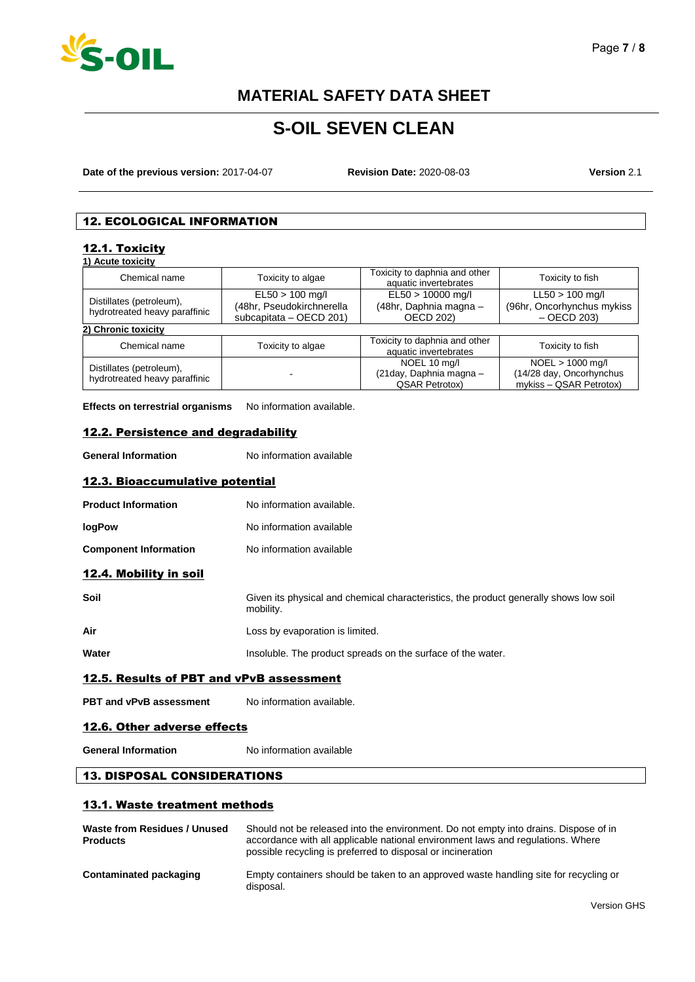

# **S-OIL SEVEN CLEAN**

**Date of the previous version:** 2017-04-07 **Revision Date:** 2020-08-03 **Version** 2.1

### 12. ECOLOGICAL INFORMATION

#### 12.1. Toxicity **1) Acute toxicity**

| I LOUIG IOVIAIN                                           |                                                                            |                                                                   |                                                                           |
|-----------------------------------------------------------|----------------------------------------------------------------------------|-------------------------------------------------------------------|---------------------------------------------------------------------------|
| Chemical name                                             | Toxicity to algae                                                          | Toxicity to daphnia and other<br>aquatic invertebrates            | Toxicity to fish                                                          |
| Distillates (petroleum),<br>hydrotreated heavy paraffinic | $E L50 > 100$ mg/l<br>(48hr, Pseudokirchnerella<br>subcapitata - OECD 201) | EL50 > 10000 mg/l<br>(48hr, Daphnia magna -<br><b>OECD 202)</b>   | $LL50 > 100$ mg/l<br>(96hr, Oncorhynchus mykiss<br>$-$ OECD 203)          |
| 2) Chronic toxicity                                       |                                                                            |                                                                   |                                                                           |
| Chemical name                                             | Toxicity to algae                                                          | Toxicity to daphnia and other<br>aquatic invertebrates            | Toxicity to fish                                                          |
| Distillates (petroleum),<br>hydrotreated heavy paraffinic |                                                                            | NOEL 10 mg/l<br>(21day, Daphnia magna -<br><b>QSAR Petrotox</b> ) | $NOEL > 1000$ mg/l<br>(14/28 day, Oncorhynchus<br>mykiss - QSAR Petrotox) |

**Effects on terrestrial organisms** No information available.

### 12.2. Persistence and degradability

**General Information** No information available

#### 12.3. Bioaccumulative potential

| <b>Product Information</b> | No information available. |
|----------------------------|---------------------------|
| <b>logPow</b>              | No information available  |

### **Component Information** No information available

### 12.4. Mobility in soil

| Soil | Given its physical and chemical characteristics, the product generally shows low soil<br>mobility. |
|------|----------------------------------------------------------------------------------------------------|
| Air  | Loss by evaporation is limited.                                                                    |

| Water | Insoluble. The product spreads on the surface of the water. |
|-------|-------------------------------------------------------------|

### 12.5. Results of PBT and vPvB assessment

**PBT and vPvB assessment** No information available.

#### 12.6. Other adverse effects

**General Information** No information available

#### 13. DISPOSAL CONSIDERATIONS

#### 13.1. Waste treatment methods

| Waste from Residues / Unused<br><b>Products</b> | Should not be released into the environment. Do not empty into drains. Dispose of in<br>accordance with all applicable national environment laws and regulations. Where<br>possible recycling is preferred to disposal or incineration |
|-------------------------------------------------|----------------------------------------------------------------------------------------------------------------------------------------------------------------------------------------------------------------------------------------|
| Contaminated packaging                          | Empty containers should be taken to an approved waste handling site for recycling or<br>disposal.                                                                                                                                      |